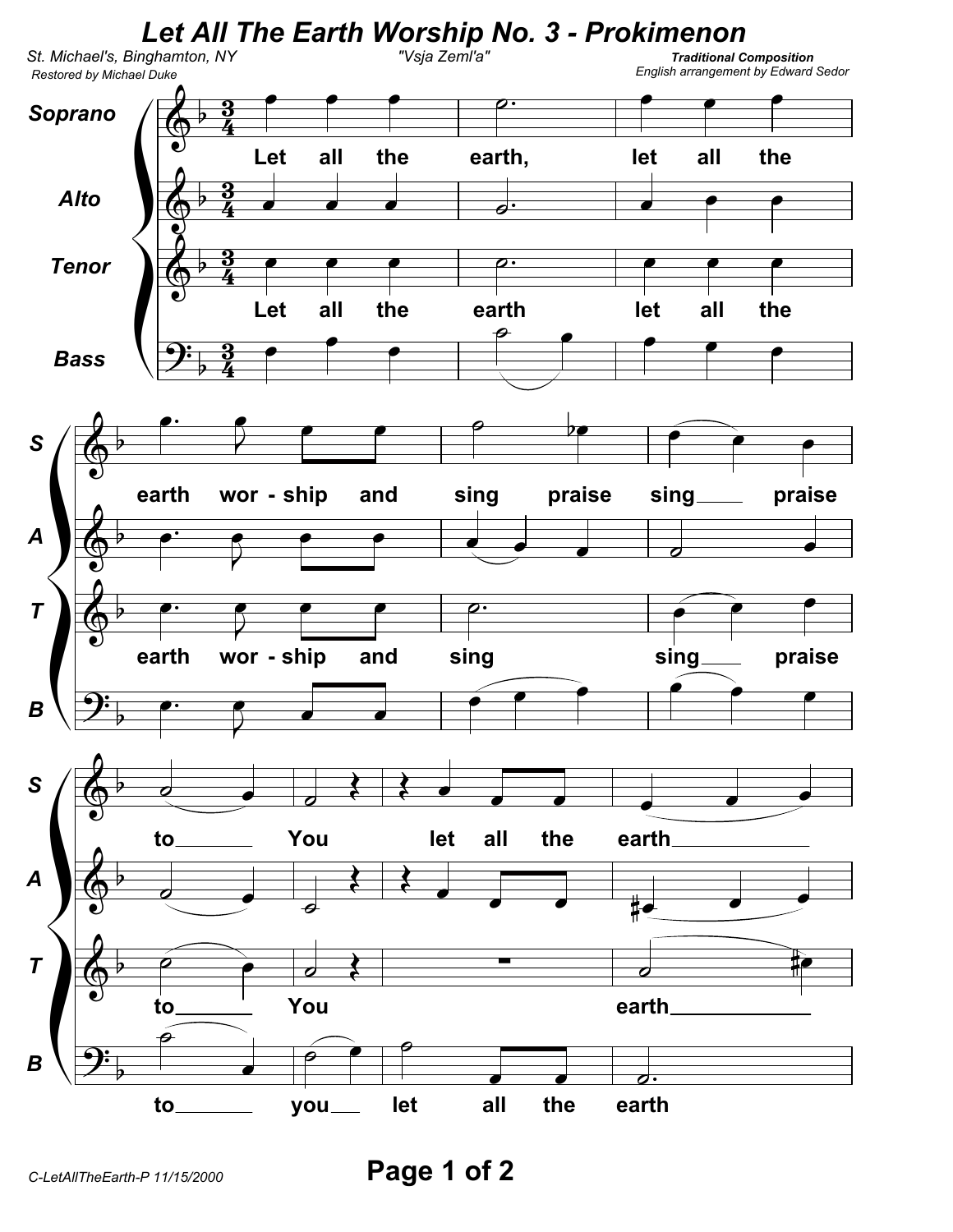

Page 1 of 2